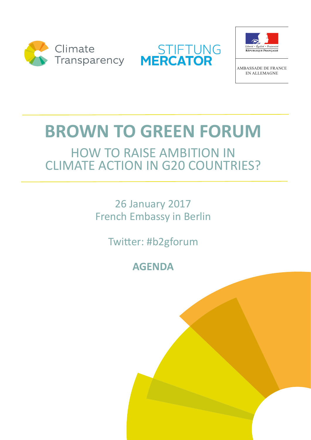





**AMBASSADE DE FRANCE EN ALL EMAGNE** 

## **BROWN TO GREEN FORUM**

## **HOW TO RAISE AMBITION IN CLIMATE ACTION IN G20 COUNTRIES?**

**26 January 2017 French Embassy in Berlin** 

Twitter: #b2gforum

**AGENDA**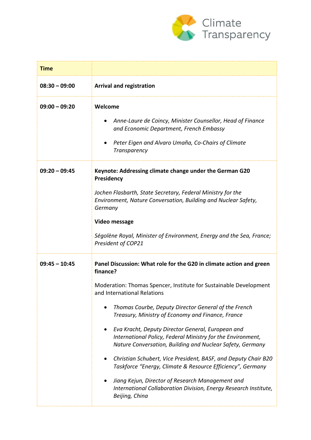

| <b>Time</b>     |                                                                                                                                                                                                                                                                                                                                                                                                                                                                                                                                                                                                                                                                                                                                                                                            |
|-----------------|--------------------------------------------------------------------------------------------------------------------------------------------------------------------------------------------------------------------------------------------------------------------------------------------------------------------------------------------------------------------------------------------------------------------------------------------------------------------------------------------------------------------------------------------------------------------------------------------------------------------------------------------------------------------------------------------------------------------------------------------------------------------------------------------|
| $08:30 - 09:00$ | <b>Arrival and registration</b>                                                                                                                                                                                                                                                                                                                                                                                                                                                                                                                                                                                                                                                                                                                                                            |
| $09:00 - 09:20$ | Welcome<br>Anne-Laure de Coincy, Minister Counsellor, Head of Finance<br>and Economic Department, French Embassy<br>Peter Eigen and Alvaro Umaña, Co-Chairs of Climate<br>٠<br><b>Transparency</b>                                                                                                                                                                                                                                                                                                                                                                                                                                                                                                                                                                                         |
| $09:20 - 09:45$ | Keynote: Addressing climate change under the German G20<br>Presidency<br>Jochen Flasbarth, State Secretary, Federal Ministry for the<br>Environment, Nature Conversation, Building and Nuclear Safety,<br>Germany<br><b>Video message</b><br>Ségolène Royal, Minister of Environment, Energy and the Sea, France;<br>President of COP21                                                                                                                                                                                                                                                                                                                                                                                                                                                    |
| $09:45 - 10:45$ | Panel Discussion: What role for the G20 in climate action and green<br>finance?<br>Moderation: Thomas Spencer, Institute for Sustainable Development<br>and International Relations<br>Thomas Courbe, Deputy Director General of the French<br>Treasury, Ministry of Economy and Finance, France<br>Eva Kracht, Deputy Director General, European and<br>٠<br>International Policy, Federal Ministry for the Environment,<br>Nature Conversation, Building and Nuclear Safety, Germany<br>Christian Schubert, Vice President, BASF, and Deputy Chair B20<br>$\bullet$<br>Taskforce "Energy, Climate & Resource Efficiency", Germany<br>Jiang Kejun, Director of Research Management and<br>$\bullet$<br>International Collaboration Division, Energy Research Institute,<br>Beijing, China |